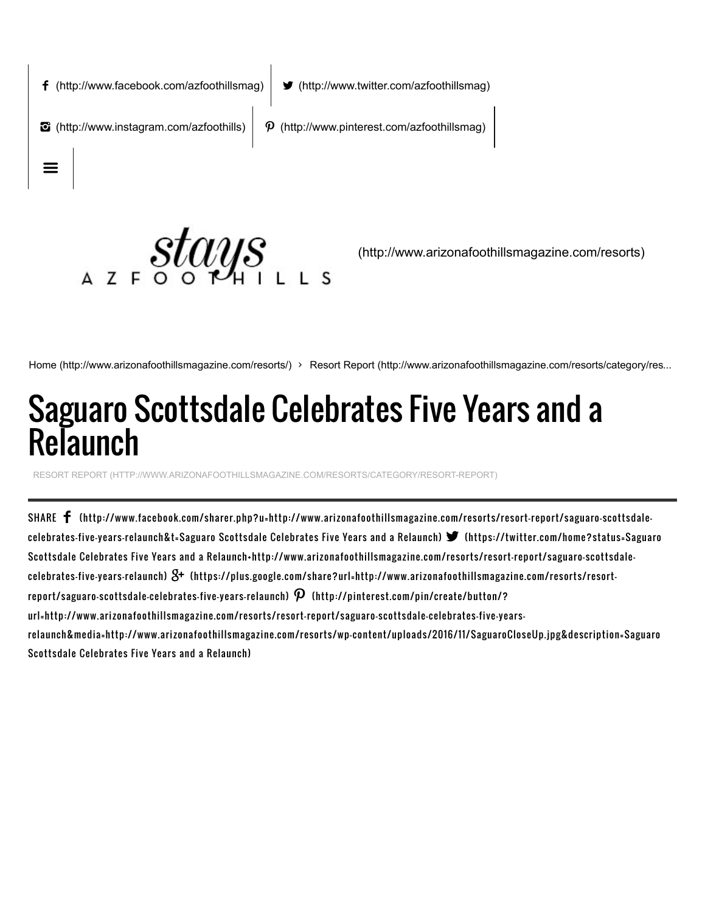

[\(http://www.arizonafoothillsmagazine.com/resorts\)](http://www.arizonafoothillsmagazine.com/resorts)

[Home \(http://www.arizonafoothillsmagazine.com/resorts/\)](http://www.arizonafoothillsmagazine.com/resorts/) > [Resort Report \(http://www.arizonafoothillsmagazine.com/resorts/category/res...](http://www.arizonafoothillsmagazine.com/resorts/category/resort-report)

## Saguaro Scottsdale Celebrates Five Years and a Relaunch

[RESORT REPORT \(HTTP://WWW.ARIZONAFOOTHILLSMAGAZINE.COM/RESORTS/CATEGORY/RESORTREPORT\)](http://www.arizonafoothillsmagazine.com/resorts/category/resort-report)

SHARE [\(http://www.facebook.com/sharer.php?u=http://www.arizonafoothillsmagazine.com/resorts/resort-report/saguaro-scottsdale](http://www.facebook.com/sharer.php?u=http://www.arizonafoothillsmagazine.com/resorts/resort-report/saguaro-scottsdale-celebrates-five-years-relaunch&t=Saguaro%20Scottsdale%20Celebrates%20Five%20Years%20and%20a%20Relaunch)celebrates-five-years-relaunch&t=Saguaro Scottsdale Celebrates Five Years and <sup>a</sup> Relaunch) (https://twitter.com/home?status=Saguaro Scottsdale Celebrates Five Years and a [Relaunch+http://www.arizonafoothillsmagazine.com/resorts/resort-report/saguaro-scottsdale](https://twitter.com/home?status=Saguaro%20Scottsdale%20Celebrates%20Five%20Years%20and%20a%20Relaunch+http://www.arizonafoothillsmagazine.com/resorts/resort-report/saguaro-scottsdale-celebrates-five-years-relaunch)celebrates-five-years-relaunch)  $\mathcal{S}^{\!+}$  [\(https://plus.google.com/share?url=http://www.arizonafoothillsmagazine.com/resorts/resort](https://plus.google.com/share?url=http://www.arizonafoothillsmagazine.com/resorts/resort-report/saguaro-scottsdale-celebrates-five-years-relaunch)report/saguaro-scottsdale-celebrates-five-years-relaunch)  $\bm{\mathcal{P}}$  (http://pinterest.com/pin/create/button/? url=http://www.arizonafoothillsmagazine.com/resorts/resort-report/saguaro-scottsdale-celebrates-five-years[relaunch&media=http://www.arizonafoothillsmagazine.com/resorts/wp-content/uploads/2016/11/SaguaroCloseUp.jpg&description=Saguaro](http://pinterest.com/pin/create/button/?url=http://www.arizonafoothillsmagazine.com/resorts/resort-report/saguaro-scottsdale-celebrates-five-years-relaunch&media=http://www.arizonafoothillsmagazine.com/resorts/wp-content/uploads/2016/11/SaguaroCloseUp.jpg&description=Saguaro%20Scottsdale%20Celebrates%20Five%20Years%20and%20a%20Relaunch) Scottsdale Celebrates Five Years and a Relaunch)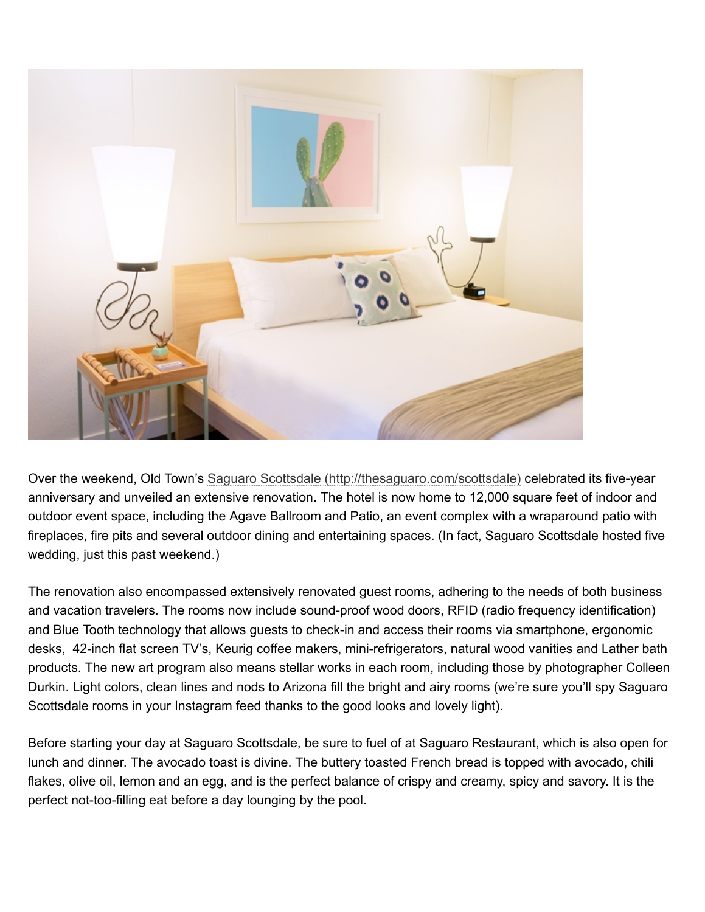

Over the weekend, Old Town's [Saguaro Scottsdale \(http://thesaguaro.com/scottsdale\)](http://thesaguaro.com/scottsdale) celebrated its five-year anniversary and unveiled an extensive renovation. The hotel is now home to 12,000 square feet of indoor and outdoor event space, including the Agave Ballroom and Patio, an event complex with a wraparound patio with fireplaces, fire pits and several outdoor dining and entertaining spaces. (In fact, Saguaro Scottsdale hosted five wedding, just this past weekend.)

The renovation also encompassed extensively renovated guest rooms, adhering to the needs of both business and vacation travelers. The rooms now include sound-proof wood doors, RFID (radio frequency identification) and Blue Tooth technology that allows guests to check-in and access their rooms via smartphone, ergonomic desks, 42-inch flat screen TV's, Keurig coffee makers, mini-refrigerators, natural wood vanities and Lather bath products. The new art program also means stellar works in each room, including those by photographer Colleen Durkin. Light colors, clean lines and nods to Arizona fill the bright and airy rooms (we're sure you'll spy Saguaro Scottsdale rooms in your Instagram feed thanks to the good looks and lovely light).

Before starting your day at Saguaro Scottsdale, be sure to fuel of at Saguaro Restaurant, which is also open for lunch and dinner. The avocado toast is divine. The buttery toasted French bread is topped with avocado, chili flakes, olive oil, lemon and an egg, and is the perfect balance of crispy and creamy, spicy and savory. It is the perfect not-too-filling eat before a day lounging by the pool.